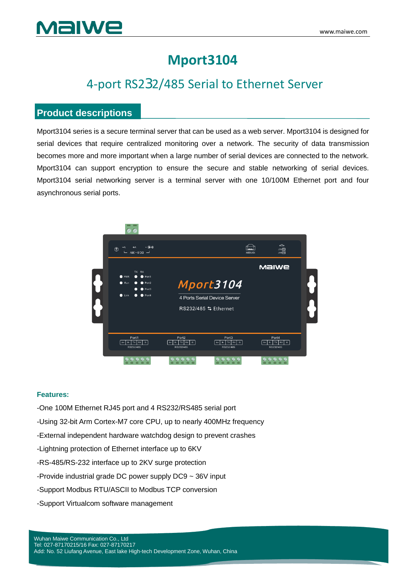## **Mport3104**

## 4-port RS232/485 Serial to Ethernet Server

### **Product descriptions**

Mport3104 series is a secure terminal server that can be used as a web server. Mport3104 is designed for serial devices that require centralized monitoring over a network. The security of data transmission becomes more and more important when a large number of serial devices are connected to the network. Mport3104 can support encryption to ensure the secure and stable networking of serial devices. Mport3104 serial networking server is a terminal server with one 10/100M Ethernet port and four asynchronous serial ports.



#### **Features:**

- -One 100M Ethernet RJ45 port and 4 RS232/RS485 serial port
- -Using 32-bit Arm Cortex-M7 core CPU, up to nearly 400MHz frequency
- -External independent hardware watchdog design to prevent crashes
- -Lightning protection of Ethernet interface up to 6KV
- -RS-485/RS-232 interface up to 2KV surge protection
- -Provide industrial grade DC power supply DC9 ~ 36V input
- -Support Modbus RTU/ASCII to Modbus TCP conversion
- -Support Virtualcom software management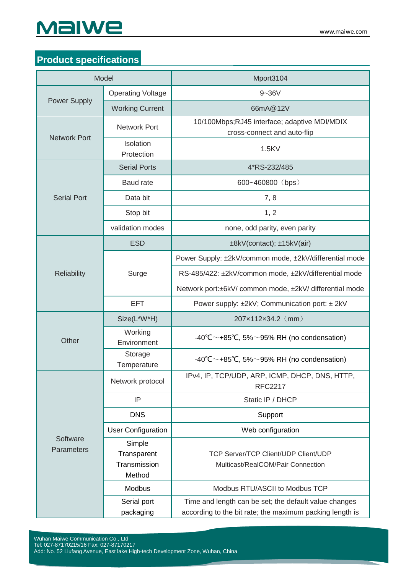# MaIWe

## **Product specifications**

|                        | Model                                           | Mport3104                                                                                                         |
|------------------------|-------------------------------------------------|-------------------------------------------------------------------------------------------------------------------|
| <b>Power Supply</b>    | <b>Operating Voltage</b>                        | $9 - 36V$                                                                                                         |
|                        | <b>Working Current</b>                          | 66mA@12V                                                                                                          |
| <b>Network Port</b>    | <b>Network Port</b>                             | 10/100Mbps;RJ45 interface; adaptive MDI/MDIX<br>cross-connect and auto-flip                                       |
|                        | Isolation<br>Protection                         | 1.5KV                                                                                                             |
| <b>Serial Port</b>     | <b>Serial Ports</b>                             | 4*RS-232/485                                                                                                      |
|                        | <b>Baud rate</b>                                | 600~460800 (bps)                                                                                                  |
|                        | Data bit                                        | 7,8                                                                                                               |
|                        | Stop bit                                        | 1, 2                                                                                                              |
|                        | validation modes                                | none, odd parity, even parity                                                                                     |
|                        | <b>ESD</b>                                      | ±8kV(contact); ±15kV(air)                                                                                         |
|                        | Surge                                           | Power Supply: ±2kV/common mode, ±2kV/differential mode                                                            |
| <b>Reliability</b>     |                                                 | RS-485/422: ±2kV/common mode, ±2kV/differential mode                                                              |
|                        |                                                 | Network port:±6kV/ common mode, ±2kV/ differential mode                                                           |
|                        | <b>EFT</b>                                      | Power supply: ±2kV; Communication port: ± 2kV                                                                     |
|                        | Size(L*W*H)                                     | 207x112x34.2 (mm)                                                                                                 |
| Other                  | Working<br>Environment                          | -40°C $\sim$ +85°C, 5% $\sim$ 95% RH (no condensation)                                                            |
|                        | Storage<br>Temperature                          | -40°C $\sim$ +85°C, 5% $\sim$ 95% RH (no condensation)                                                            |
| Software<br>Parameters | Network protocol                                | IPv4, IP, TCP/UDP, ARP, ICMP, DHCP, DNS, HTTP,<br><b>RFC2217</b>                                                  |
|                        | IP                                              | Static IP / DHCP                                                                                                  |
|                        | <b>DNS</b>                                      | Support                                                                                                           |
|                        | <b>User Configuration</b>                       | Web configuration                                                                                                 |
|                        | Simple<br>Transparent<br>Transmission<br>Method | <b>TCP Server/TCP Client/UDP Client/UDP</b><br>Multicast/RealCOM/Pair Connection                                  |
|                        | Modbus                                          | Modbus RTU/ASCII to Modbus TCP                                                                                    |
|                        | Serial port<br>packaging                        | Time and length can be set; the default value changes<br>according to the bit rate; the maximum packing length is |